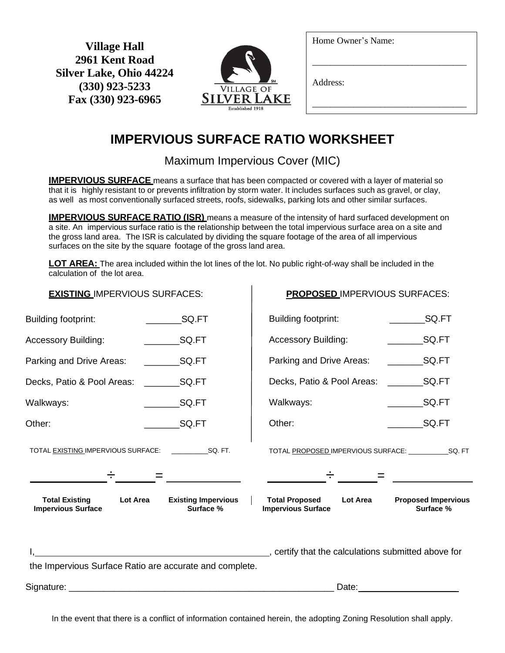**Village Hall 2961 Kent Road Silver Lake, Ohio 44224 (330) 923-5233 Fax (330) 923-6965**



Home Owner's Name:

\_\_\_\_\_\_\_\_\_\_\_\_\_\_\_\_\_\_\_\_\_\_\_\_\_\_\_\_\_\_\_\_\_\_

\_\_\_\_\_\_\_\_\_\_\_\_\_\_\_\_\_\_\_\_\_\_\_\_\_\_\_\_\_\_\_\_\_\_

Address:

## **IMPERVIOUS SURFACE RATIO WORKSHEET**

Maximum Impervious Cover (MIC)

**IMPERVIOUS SURFACE** means a surface that has been compacted or covered with a layer of material so that it is highly resistant to or prevents infiltration by storm water. It includes surfaces such as gravel, or clay, as well as most conventionally surfaced streets, roofs, sidewalks, parking lots and other similar surfaces.

**IMPERVIOUS SURFACE RATIO (ISR)** means a measure of the intensity of hard surfaced development on a site. An impervious surface ratio is the relationship between the total impervious surface area on a site and the gross land area. The ISR is calculated by dividing the square footage of the area of all impervious surfaces on the site by the square footage of the gross land area.

**LOT AREA:** The area included within the lot lines of the lot. No public right-of-way shall be included in the calculation of the lot area.

| <b>EXISTING IMPERVIOUS SURFACES:</b>                           |                                                         | <b>PROPOSED IMPERVIOUS SURFACES:</b>                                                               |                                         |
|----------------------------------------------------------------|---------------------------------------------------------|----------------------------------------------------------------------------------------------------|-----------------------------------------|
| <b>Building footprint:</b>                                     | SQ.FT                                                   | Building footprint:                                                                                | SQ.FT                                   |
| <b>Accessory Building:</b>                                     | SQ.FT                                                   | <b>Accessory Building:</b>                                                                         | SQ.FT                                   |
| Parking and Drive Areas:                                       |                                                         | Parking and Drive Areas:                                                                           | SQ.FT                                   |
| Decks, Patio & Pool Areas:                                     |                                                         | Decks, Patio & Pool Areas:                                                                         |                                         |
| Walkways:                                                      | <b>SQ.FT</b>                                            | Walkways:                                                                                          | $\_$ SQ.FT                              |
| Other:                                                         | SQ.FT                                                   | Other:                                                                                             | SQ.FT                                   |
|                                                                |                                                         |                                                                                                    |                                         |
| <b>Total Existing</b><br>Lot Area<br><b>Impervious Surface</b> | <b>Existing Impervious</b><br>Surface %                 | <b>Total Proposed</b><br>Lot Area<br><b>Impervious Surface</b>                                     | <b>Proposed Impervious</b><br>Surface % |
|                                                                | the Impervious Surface Ratio are accurate and complete. | certify that the calculations submitted above for example and the calculations submitted above for |                                         |
|                                                                |                                                         |                                                                                                    |                                         |
|                                                                |                                                         |                                                                                                    |                                         |

In the event that there is a conflict of information contained herein, the adopting Zoning Resolution shall apply.